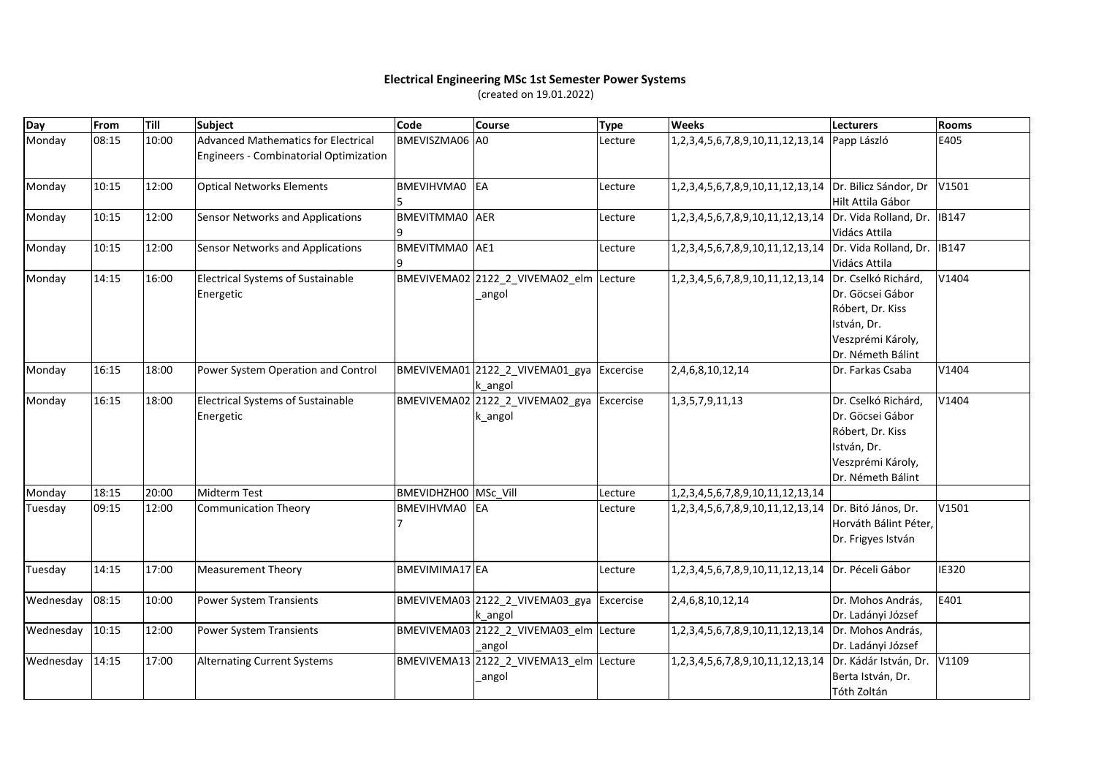## **Electrical Engineering MSc 1st Semester Power Systems**

(created on 19.01.2022)

| Day       | From  | Till  | <b>Subject</b>                                                                       | <b>Code</b>           | Course                                               | <b>Type</b> | <b>Weeks</b>                                           | Lecturers                                                                                                            | Rooms        |
|-----------|-------|-------|--------------------------------------------------------------------------------------|-----------------------|------------------------------------------------------|-------------|--------------------------------------------------------|----------------------------------------------------------------------------------------------------------------------|--------------|
| Monday    | 08:15 | 10:00 | <b>Advanced Mathematics for Electrical</b><br>Engineers - Combinatorial Optimization | BMEVISZMA06 A0        |                                                      | Lecture     | 1,2,3,4,5,6,7,8,9,10,11,12,13,14 Papp László           |                                                                                                                      | E405         |
| Monday    | 10:15 | 12:00 | <b>Optical Networks Elements</b>                                                     | BMEVIHVMA0 EA         |                                                      | Lecture     | 1,2,3,4,5,6,7,8,9,10,11,12,13,14 Dr. Bilicz Sándor, Dr | Hilt Attila Gábor                                                                                                    | V1501        |
| Monday    | 10:15 | 12:00 | <b>Sensor Networks and Applications</b>                                              | BMEVITMMA0 AER        |                                                      | Lecture     | 1,2,3,4,5,6,7,8,9,10,11,12,13,14                       | Dr. Vida Rolland, Dr.<br>Vidács Attila                                                                               | <b>IB147</b> |
| Monday    | 10:15 | 12:00 | Sensor Networks and Applications                                                     | <b>BMEVITMMA0</b> AE1 |                                                      | Lecture     | 1,2,3,4,5,6,7,8,9,10,11,12,13,14                       | Dr. Vida Rolland, Dr.<br>Vidács Attila                                                                               | <b>IB147</b> |
| Monday    | 14:15 | 16:00 | Electrical Systems of Sustainable<br>Energetic                                       |                       | BMEVIVEMA02 2122_2_VIVEMA02_elm Lecture<br>_angol    |             | 1,2,3,4,5,6,7,8,9,10,11,12,13,14                       | Dr. Cselkó Richárd,<br>Dr. Göcsei Gábor<br>Róbert, Dr. Kiss<br>István, Dr.<br>Veszprémi Károly,<br>Dr. Németh Bálint | V1404        |
| Monday    | 16:15 | 18:00 | Power System Operation and Control                                                   |                       | BMEVIVEMA01 2122 2 VIVEMA01 gya Excercise<br>k_angol |             | 2,4,6,8,10,12,14                                       | Dr. Farkas Csaba                                                                                                     | V1404        |
| Monday    | 16:15 | 18:00 | Electrical Systems of Sustainable<br>Energetic                                       |                       | BMEVIVEMA02 2122_2_VIVEMA02_gya Excercise<br>k_angol |             | 1, 3, 5, 7, 9, 11, 13                                  | Dr. Cselkó Richárd,<br>Dr. Göcsei Gábor<br>Róbert, Dr. Kiss<br>István, Dr.<br>Veszprémi Károly,<br>Dr. Németh Bálint | V1404        |
| Monday    | 18:15 | 20:00 | <b>Midterm Test</b>                                                                  | BMEVIDHZH00 MSc Vill  |                                                      | Lecture     | 1,2,3,4,5,6,7,8,9,10,11,12,13,14                       |                                                                                                                      |              |
| Tuesday   | 09:15 | 12:00 | <b>Communication Theory</b>                                                          | <b>BMEVIHVMA0</b>     | <b>EA</b>                                            | Lecture     | 1,2,3,4,5,6,7,8,9,10,11,12,13,14                       | Dr. Bitó János, Dr.<br>Horváth Bálint Péter,<br>Dr. Frigyes István                                                   | V1501        |
| Tuesday   | 14:15 | 17:00 | <b>Measurement Theory</b>                                                            | BMEVIMIMA17 EA        |                                                      | Lecture     | 1,2,3,4,5,6,7,8,9,10,11,12,13,14                       | Dr. Péceli Gábor                                                                                                     | <b>IE320</b> |
| Wednesday | 08:15 | 10:00 | Power System Transients                                                              |                       | BMEVIVEMA03 2122 2 VIVEMA03 gya Excercise<br>k_angol |             | 2,4,6,8,10,12,14                                       | Dr. Mohos András,<br>Dr. Ladányi József                                                                              | E401         |
| Wednesday | 10:15 | 12:00 | Power System Transients                                                              |                       | BMEVIVEMA03 2122 2 VIVEMA03 elm Lecture<br>angol     |             | 1,2,3,4,5,6,7,8,9,10,11,12,13,14                       | Dr. Mohos András,<br>Dr. Ladányi József                                                                              |              |
| Wednesday | 14:15 | 17:00 | <b>Alternating Current Systems</b>                                                   |                       | BMEVIVEMA13 2122_2_VIVEMA13_elm Lecture<br>_angol    |             | 1,2,3,4,5,6,7,8,9,10,11,12,13,14                       | Dr. Kádár István, Dr.<br>Berta István, Dr.<br>Tóth Zoltán                                                            | V1109        |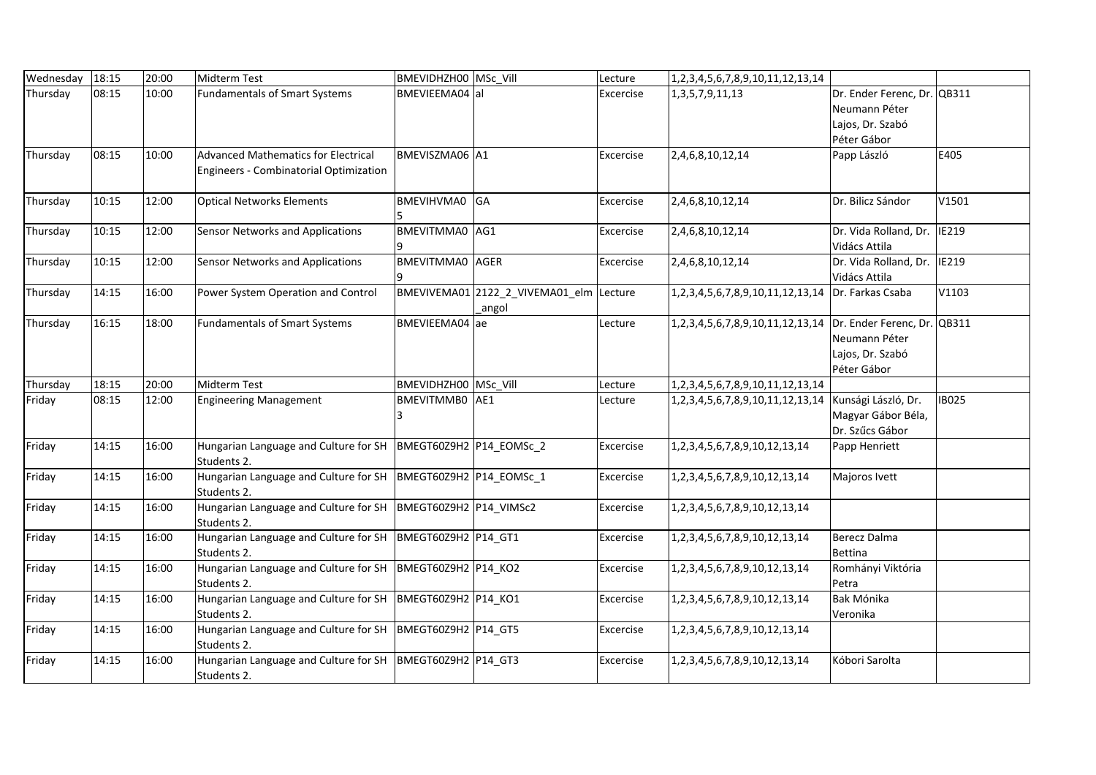| Wednesday | 18:15 | 20:00 | Midterm Test                                                                         | BMEVIDHZH00   MSc_Vill      |                                                  | Lecture   | 1, 2, 3, 4, 5, 6, 7, 8, 9, 10, 11, 12, 13, 14                  |                                                                                 |              |
|-----------|-------|-------|--------------------------------------------------------------------------------------|-----------------------------|--------------------------------------------------|-----------|----------------------------------------------------------------|---------------------------------------------------------------------------------|--------------|
| Thursday  | 08:15 | 10:00 | <b>Fundamentals of Smart Systems</b>                                                 | BMEVIEEMA04 al              |                                                  | Excercise | 1, 3, 5, 7, 9, 11, 13                                          | Dr. Ender Ferenc, Dr. QB311<br>Neumann Péter<br>Lajos, Dr. Szabó<br>Péter Gábor |              |
| Thursday  | 08:15 | 10:00 | <b>Advanced Mathematics for Electrical</b><br>Engineers - Combinatorial Optimization | BMEVISZMA06 A1              |                                                  | Excercise | 2,4,6,8,10,12,14                                               | Papp László                                                                     | E405         |
| Thursday  | 10:15 | 12:00 | <b>Optical Networks Elements</b>                                                     | BMEVIHVMA0 GA               |                                                  | Excercise | 2,4,6,8,10,12,14                                               | Dr. Bilicz Sándor                                                               | V1501        |
| Thursday  | 10:15 | 12:00 | <b>Sensor Networks and Applications</b>                                              | BMEVITMMA0 AG1              |                                                  | Excercise | 2,4,6,8,10,12,14                                               | Dr. Vida Rolland, Dr. IE219<br>Vidács Attila                                    |              |
| Thursday  | 10:15 | 12:00 | <b>Sensor Networks and Applications</b>                                              | <b>BMEVITMMA0</b> AGER      |                                                  | Excercise | 2,4,6,8,10,12,14                                               | Dr. Vida Rolland, Dr.<br>Vidács Attila                                          | <b>IE219</b> |
| Thursday  | 14:15 | 16:00 | Power System Operation and Control                                                   |                             | BMEVIVEMA01 2122_2_VIVEMA01_elm Lecture<br>angol |           | 1,2,3,4,5,6,7,8,9,10,11,12,13,14                               | Dr. Farkas Csaba                                                                | V1103        |
| Thursday  | 16:15 | 18:00 | <b>Fundamentals of Smart Systems</b>                                                 | BMEVIEEMA04 ae              |                                                  | Lecture   | 1,2,3,4,5,6,7,8,9,10,11,12,13,14   Dr. Ender Ferenc, Dr. QB311 | Neumann Péter<br>Lajos, Dr. Szabó<br>Péter Gábor                                |              |
| Thursday  | 18:15 | 20:00 | Midterm Test                                                                         | <b>BMEVIDHZH00 MSc Vill</b> |                                                  | Lecture   | 1,2,3,4,5,6,7,8,9,10,11,12,13,14                               |                                                                                 |              |
| Friday    | 08:15 | 12:00 | <b>Engineering Management</b>                                                        | BMEVITMMB0 AE1<br>3         |                                                  | Lecture   | 1, 2, 3, 4, 5, 6, 7, 8, 9, 10, 11, 12, 13, 14                  | Kunsági László, Dr.<br>Magyar Gábor Béla,<br>Dr. Szűcs Gábor                    | <b>IB025</b> |
| Friday    | 14:15 | 16:00 | Hungarian Language and Culture for SH  BMEGT60Z9H2  P14_EOMSc_2<br>Students 2.       |                             |                                                  | Excercise | 1,2,3,4,5,6,7,8,9,10,12,13,14                                  | Papp Henriett                                                                   |              |
| Friday    | 14:15 | 16:00 | Hungarian Language and Culture for SH  BMEGT60Z9H2  P14_EOMSc_1<br>Students 2.       |                             |                                                  | Excercise | 1,2,3,4,5,6,7,8,9,10,12,13,14                                  | Majoros Ivett                                                                   |              |
| Friday    | 14:15 | 16:00 | Hungarian Language and Culture for SH   BMEGT60Z9H2   P14_VIMSc2<br>Students 2.      |                             |                                                  | Excercise | 1, 2, 3, 4, 5, 6, 7, 8, 9, 10, 12, 13, 14                      |                                                                                 |              |
| Friday    | 14:15 | 16:00 | Hungarian Language and Culture for SH  BMEGT60Z9H2  P14 GT1<br>Students 2.           |                             |                                                  | Excercise | 1,2,3,4,5,6,7,8,9,10,12,13,14                                  | Berecz Dalma<br>Bettina                                                         |              |
| Friday    | 14:15 | 16:00 | Hungarian Language and Culture for SH  BMEGT60Z9H2  P14_KO2<br>Students 2.           |                             |                                                  | Excercise | 1,2,3,4,5,6,7,8,9,10,12,13,14                                  | Romhányi Viktória<br>Petra                                                      |              |
| Friday    | 14:15 | 16:00 | Hungarian Language and Culture for SH   BMEGT60Z9H2   P14 KO1<br>Students 2.         |                             |                                                  | Excercise | 1,2,3,4,5,6,7,8,9,10,12,13,14                                  | Bak Mónika<br>Veronika                                                          |              |
| Friday    | 14:15 | 16:00 | Hungarian Language and Culture for SH   BMEGT60Z9H2   P14 GT5<br>Students 2.         |                             |                                                  | Excercise | 1, 2, 3, 4, 5, 6, 7, 8, 9, 10, 12, 13, 14                      |                                                                                 |              |
| Friday    | 14:15 | 16:00 | Hungarian Language and Culture for SH   BMEGT60Z9H2   P14_GT3<br>Students 2.         |                             |                                                  | Excercise | 1, 2, 3, 4, 5, 6, 7, 8, 9, 10, 12, 13, 14                      | Kóbori Sarolta                                                                  |              |